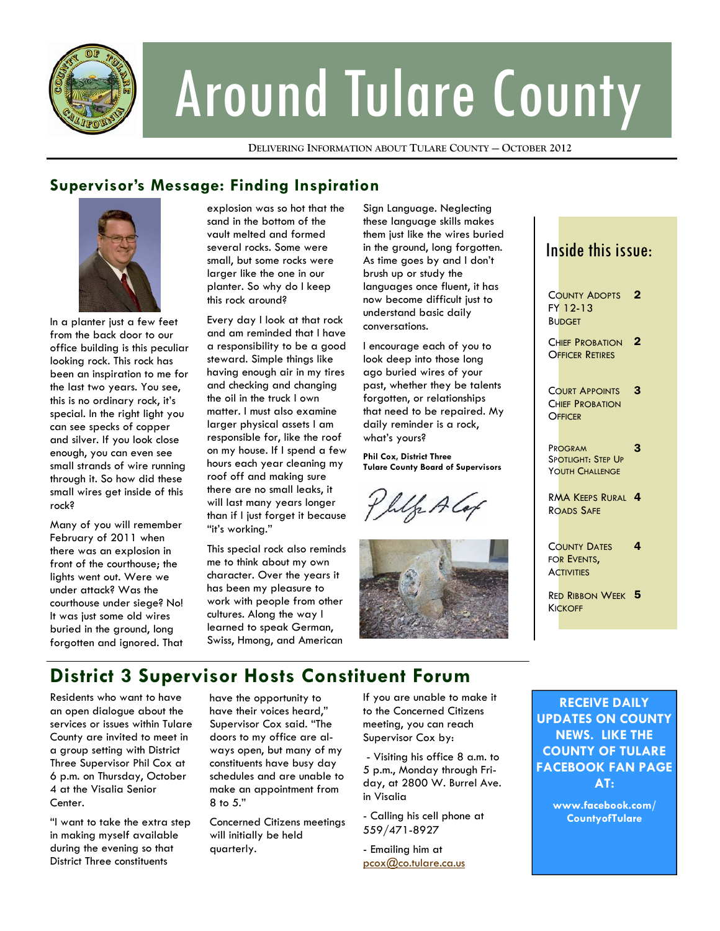

# Around Tulare County

**DELIVERING INFORMATION ABOUT TULARE COUNTY — OCTOBER 2012**

## **Supervisor's Message: Finding Inspiration**



In a planter just a few feet from the back door to our office building is this peculiar looking rock. This rock has been an inspiration to me for the last two years. You see, this is no ordinary rock, it's special. In the right light you can see specks of copper and silver. If you look close enough, you can even see small strands of wire running through it. So how did these small wires get inside of this rock?

Many of you will remember February of 2011 when there was an explosion in front of the courthouse; the lights went out. Were we under attack? Was the courthouse under siege? No! It was just some old wires buried in the ground, long forgotten and ignored. That explosion was so hot that the sand in the bottom of the vault melted and formed several rocks. Some were small, but some rocks were larger like the one in our planter. So why do I keep this rock around?

Every day I look at that rock and am reminded that I have a responsibility to be a good steward. Simple things like having enough air in my tires and checking and changing the oil in the truck I own matter. I must also examine larger physical assets I am responsible for, like the roof on my house. If I spend a few hours each year cleaning my roof off and making sure there are no small leaks, it will last many years longer than if I just forget it because "it's working."

This special rock also reminds me to think about my own character. Over the years it has been my pleasure to work with people from other cultures. Along the way I learned to speak German, Swiss, Hmong, and American

Sign Language. Neglecting these language skills makes them just like the wires buried in the ground, long forgotten. As time goes by and I don't brush up or study the languages once fluent, it has now become difficult just to understand basic daily conversations.

I encourage each of you to look deep into those long ago buried wires of your past, whether they be talents forgotten, or relationships that need to be repaired. My daily reminder is a rock, what's yours?

**Phil Cox, District Three Tulare County Board of Supervisors** 

Wh Ala



## Inside this issue:

COUNTY ADOPTS 2 FY 12-13 **BUDGET** 

CHIEF PROBATION 2 OFFICER RETIRES

COURT APPOINTS **CHIEF PROBATION OFFICER** 3

PROGRAM SPOTLIGHT: STEP UP YOUTH CHALLENGE

3

RMA KEEPS RURAL<sup>4</sup> ROADS SAFE

COUNTY DATES FOR EVENTS, **ACTIVITIES** 4

Re<mark>d Ribbon Week 5</mark> **KICKOFF** 

# **District 3 Supervisor Hosts Constituent Forum**

Residents who want to have an open dialogue about the services or issues within Tulare County are invited to meet in a group setting with District Three Supervisor Phil Cox at 6 p.m. on Thursday, October 4 at the Visalia Senior Center.

"I want to take the extra step in making myself available during the evening so that District Three constituents

have the opportunity to have their voices heard," Supervisor Cox said. "The doors to my office are always open, but many of my constituents have busy day schedules and are unable to make an appointment from 8 to 5."

Concerned Citizens meetings will initially be held quarterly.

If you are unable to make it to the Concerned Citizens meeting, you can reach Supervisor Cox by:

 - Visiting his office 8 a.m. to 5 p.m., Monday through Friday, at 2800 W. Burrel Ave. in Visalia

- Calling his cell phone at 559/471-8927

- Emailing him at pcox@co.tulare.ca.us

**RECEIVE DAILY UPDATES ON COUNTY NEWS. LIKE THE COUNTY OF TULARE FACEBOOK FAN PAGE AT:** 

> **www.facebook.com/ CountyofTulare**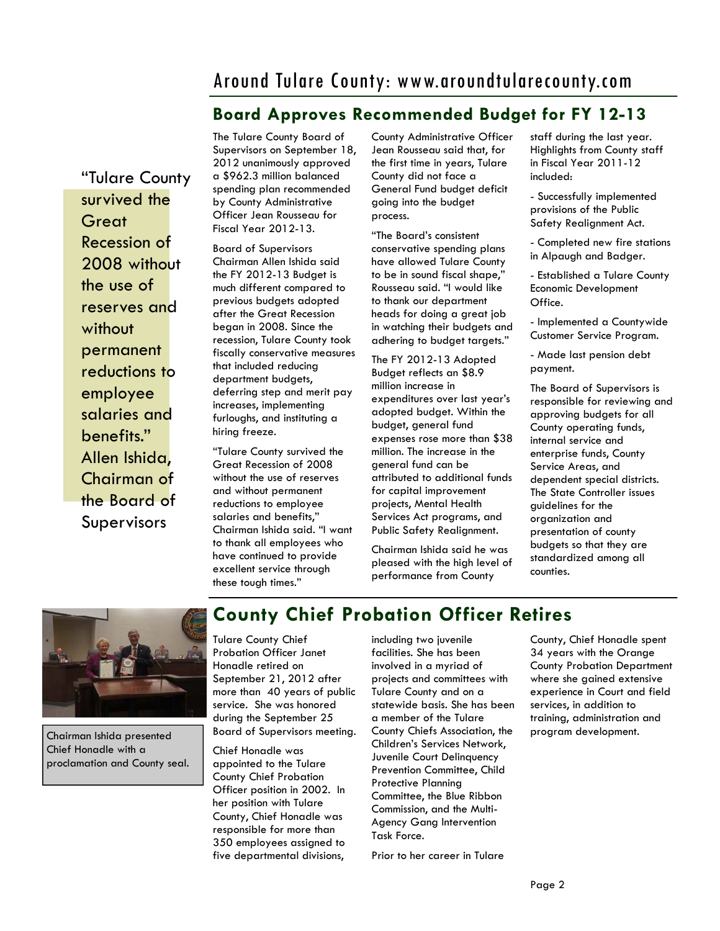# Around Tulare County: www.aroundtularecounty.com

## **Board Approves Recommended Budget for FY 12-13**

"Tulare County survived the **Great** Recession of 2008 without the use of reserves and without permanent reductions to employee salaries and benefits." Allen Ishida, Chairman of the Board of Supervisors

The Tulare County Board of Supervisors on September 18, 2012 unanimously approved a \$962.3 million balanced spending plan recommended by County Administrative Officer Jean Rousseau for Fiscal Year 2012-13.

Board of Supervisors Chairman Allen Ishida said the FY 2012-13 Budget is much different compared to previous budgets adopted after the Great Recession began in 2008. Since the recession, Tulare County took fiscally conservative measures that included reducing department budgets, deferring step and merit pay increases, implementing furloughs, and instituting a hiring freeze.

"Tulare County survived the Great Recession of 2008 without the use of reserves and without permanent reductions to employee salaries and benefits," Chairman Ishida said. "I want to thank all employees who have continued to provide excellent service through these tough times."

County Administrative Officer Jean Rousseau said that, for the first time in years, Tulare County did not face a General Fund budget deficit going into the budget process.

"The Board's consistent conservative spending plans have allowed Tulare County to be in sound fiscal shape," Rousseau said. "I would like to thank our department heads for doing a great job in watching their budgets and adhering to budget targets."

The FY 2012-13 Adopted Budget reflects an \$8.9 million increase in expenditures over last year's adopted budget. Within the budget, general fund expenses rose more than \$38 million. The increase in the general fund can be attributed to additional funds for capital improvement projects, Mental Health Services Act programs, and Public Safety Realignment.

Chairman Ishida said he was pleased with the high level of performance from County

staff during the last year. Highlights from County staff in Fiscal Year 2011-12 included:

- Successfully implemented provisions of the Public Safety Realignment Act.

- Completed new fire stations in Alpaugh and Badger.

- Established a Tulare County Economic Development Office.

- Implemented a Countywide Customer Service Program.

- Made last pension debt payment.

The Board of Supervisors is responsible for reviewing and approving budgets for all County operating funds, internal service and enterprise funds, County Service Areas, and dependent special districts. The State Controller issues guidelines for the organization and presentation of county budgets so that they are standardized among all counties.



Chairman Ishida presented Chief Honadle with a proclamation and County seal.

## **County Chief Probation Officer Retires**

Tulare County Chief Probation Officer Janet Honadle retired on September 21, 2012 after more than 40 years of public service. She was honored during the September 25 Board of Supervisors meeting.

Chief Honadle was appointed to the Tulare County Chief Probation Officer position in 2002. In her position with Tulare County, Chief Honadle was responsible for more than 350 employees assigned to five departmental divisions,

including two juvenile facilities. She has been involved in a myriad of projects and committees with Tulare County and on a statewide basis. She has been a member of the Tulare County Chiefs Association, the Children's Services Network, Juvenile Court Delinquency Prevention Committee, Child Protective Planning Committee, the Blue Ribbon Commission, and the Multi-Agency Gang Intervention Task Force.

Prior to her career in Tulare

County, Chief Honadle spent 34 years with the Orange County Probation Department where she gained extensive experience in Court and field services, in addition to training, administration and program development.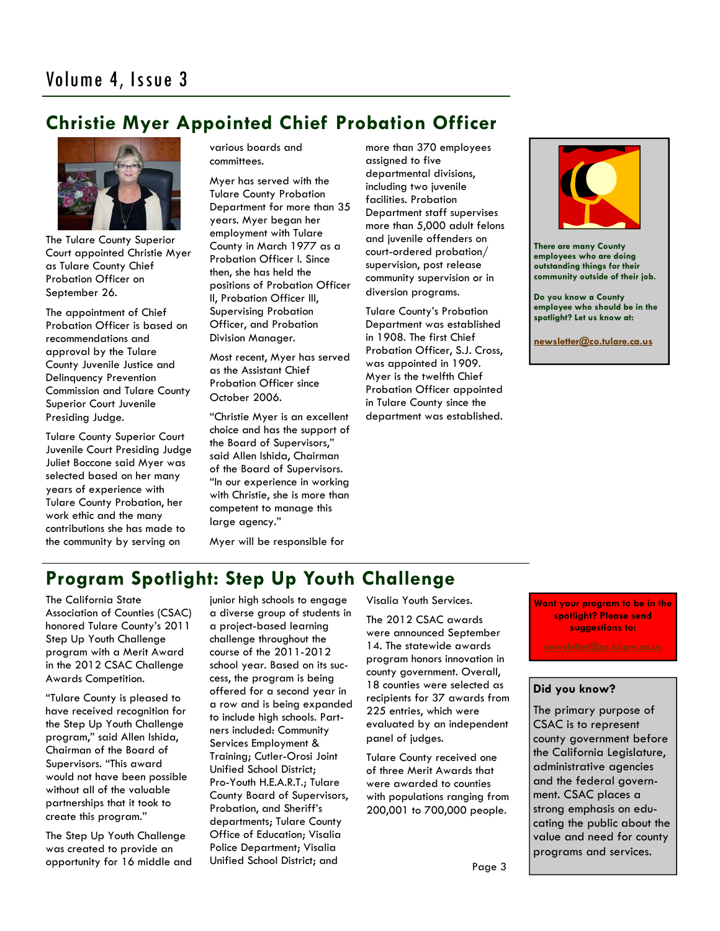## **Christie Myer Appointed Chief Probation Officer**



The Tulare County Superior Court appointed Christie Myer as Tulare County Chief Probation Officer on September 26.

The appointment of Chief Probation Officer is based on recommendations and approval by the Tulare County Juvenile Justice and Delinquency Prevention Commission and Tulare County Superior Court Juvenile Presiding Judge.

Tulare County Superior Court Juvenile Court Presiding Judge Juliet Boccone said Myer was selected based on her many years of experience with Tulare County Probation, her work ethic and the many contributions she has made to the community by serving on

various boards and committees.

Myer has served with the Tulare County Probation Department for more than 35 years. Myer began her employment with Tulare County in March 1977 as a Probation Officer I. Since then, she has held the positions of Probation Officer II, Probation Officer III, Supervising Probation Officer, and Probation Division Manager.

Most recent, Myer has served as the Assistant Chief Probation Officer since October 2006.

"Christie Myer is an excellent choice and has the support of the Board of Supervisors," said Allen Ishida, Chairman of the Board of Supervisors. "In our experience in working with Christie, she is more than competent to manage this large agency."

Myer will be responsible for

more than 370 employees assigned to five departmental divisions, including two juvenile facilities. Probation Department staff supervises more than 5,000 adult felons and juvenile offenders on court-ordered probation/ supervision, post release community supervision or in diversion programs.

Tulare County's Probation Department was established in 1908. The first Chief Probation Officer, S.J. Cross, was appointed in 1909. Myer is the twelfth Chief Probation Officer appointed in Tulare County since the department was established.



**There are many County employees who are doing outstanding things for their community outside of their job.** 

**Do you know a County employee who should be in the spotlight? Let us know at:** 

**newsletter@co.tulare.ca.us**

# **Program Spotlight: Step Up Youth Challenge**

The California State Association of Counties (CSAC) honored Tulare County's 2011 Step Up Youth Challenge program with a Merit Award in the 2012 CSAC Challenge Awards Competition.

"Tulare County is pleased to have received recognition for the Step Up Youth Challenge program," said Allen Ishida, Chairman of the Board of Supervisors. "This award would not have been possible without all of the valuable partnerships that it took to create this program."

The Step Up Youth Challenge was created to provide an opportunity for 16 middle and junior high schools to engage a diverse group of students in a project-based learning challenge throughout the course of the 2011-2012 school year. Based on its success, the program is being offered for a second year in a row and is being expanded to include high schools. Partners included: Community Services Employment & Training; Cutler-Orosi Joint Unified School District; Pro-Youth H.E.A.R.T.; Tulare County Board of Supervisors, Probation, and Sheriff's departments; Tulare County Office of Education; Visalia Police Department; Visalia Unified School District; and

Visalia Youth Services.

The 2012 CSAC awards were announced September 14. The statewide awards program honors innovation in county government. Overall, 18 counties were selected as recipients for 37 awards from 225 entries, which were evaluated by an independent panel of judges.

Tulare County received one of three Merit Awards that were awarded to counties with populations ranging from 200,001 to 700,000 people.

**Want your program to be in the spotlight? Please send suggestions to:** 

#### **Did you know?**

The primary purpose of CSAC is to represent county government before the California Legislature, administrative agencies and the federal government. CSAC places a strong emphasis on educating the public about the value and need for county programs and services.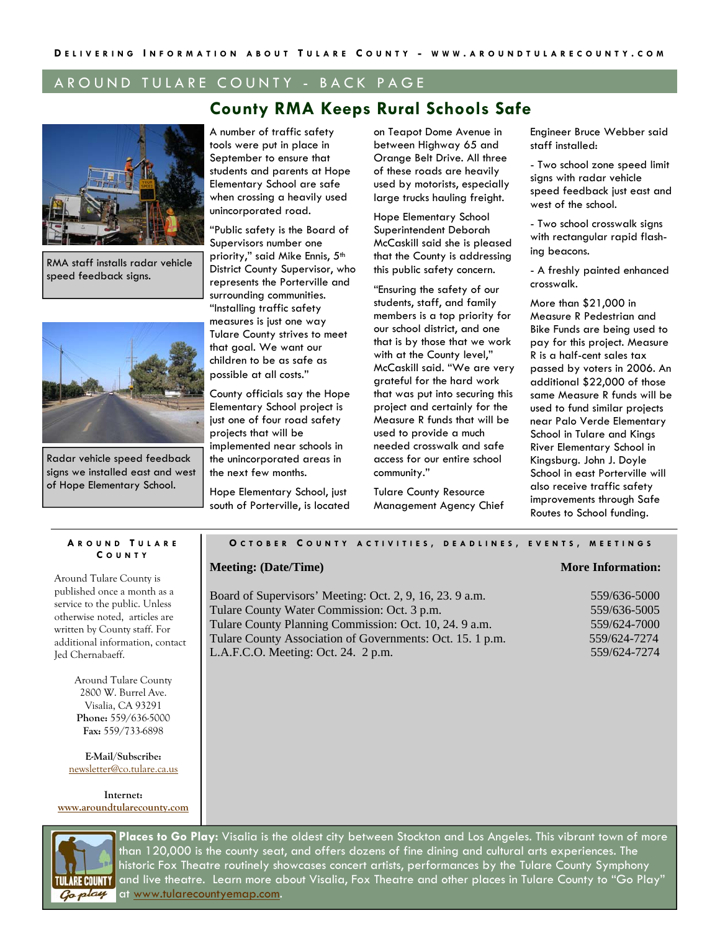#### AROUND TULARE COUNTY - BACK PAGE

### **County RMA Keeps Rural Schools Safe**



RMA staff installs radar vehicle speed feedback signs.



Radar vehicle speed feedback signs we installed east and west of Hope Elementary School.

A number of traffic safety tools were put in place in September to ensure that students and parents at Hope Elementary School are safe when crossing a heavily used unincorporated road.

"Public safety is the Board of Supervisors number one priority," said Mike Ennis, 5th District County Supervisor, who represents the Porterville and surrounding communities. "Installing traffic safety measures is just one way Tulare County strives to meet that goal. We want our children to be as safe as possible at all costs."

County officials say the Hope Elementary School project is just one of four road safety projects that will be implemented near schools in the unincorporated areas in the next few months.

Hope Elementary School, just south of Porterville, is located on Teapot Dome Avenue in between Highway 65 and Orange Belt Drive. All three of these roads are heavily used by motorists, especially large trucks hauling freight.

Hope Elementary School Superintendent Deborah McCaskill said she is pleased that the County is addressing this public safety concern.

"Ensuring the safety of our students, staff, and family members is a top priority for our school district, and one that is by those that we work with at the County level," McCaskill said. "We are very grateful for the hard work that was put into securing this project and certainly for the Measure R funds that will be used to provide a much needed crosswalk and safe access for our entire school community."

Tulare County Resource Management Agency Chief Engineer Bruce Webber said staff installed:

- Two school zone speed limit sians with radar vehicle speed feedback just east and west of the school.

- Two school crosswalk signs with rectangular rapid flashing beacons.

- A freshly painted enhanced crosswalk.

More than \$21,000 in Measure R Pedestrian and Bike Funds are being used to pay for this project. Measure R is a half-cent sales tax passed by voters in 2006. An additional \$22,000 of those same Measure R funds will be used to fund similar projects near Palo Verde Elementary School in Tulare and Kings River Elementary School in Kingsburg. John J. Doyle School in east Porterville will also receive traffic safety improvements through Safe Routes to School funding.

#### **A ROUND T ULARE C OUNTY**

Around Tulare County is published once a month as a service to the public. Unless otherwise noted, articles are written by County staff. For additional information, contact Jed Chernabaeff.

> Around Tulare County 2800 W. Burrel Ave. Visalia, CA 93291 **Phone:** 559/636-5000 **Fax:** 559/733-6898

**E-Mail/Subscribe:**  newsletter@co.tulare.ca.us

**Internet: www.aroundtularecounty.com** 

#### **O CTOBER C OUNTY ACTIVITIES , DEADLINES , EVENTS , MEETINGS**

#### **Meeting: (Date/Time)** More Information:

Board of Supervisors' Meeting: Oct. 2, 9, 16, 23, 9 a.m. Tulare County Water Commission: Oct. 3 p.m. Tulare County Planning Commission: Oct. 10, 24. 9 a.m. Tulare County Association of Governments: Oct. 15. 1 p.m. L.A.F.C.O. Meeting: Oct. 24. 2 p.m.



**Places to Go Play:** Visalia is the oldest city between Stockton and Los Angeles. This vibrant town of more than 120,000 is the county seat, and offers dozens of fine dining and cultural arts experiences. The historic Fox Theatre routinely showcases concert artists, performances by the Tulare County Symphony and live theatre. Learn more about Visalia, Fox Theatre and other places in Tulare County to "Go Play" at www.tularecountyemap.com.